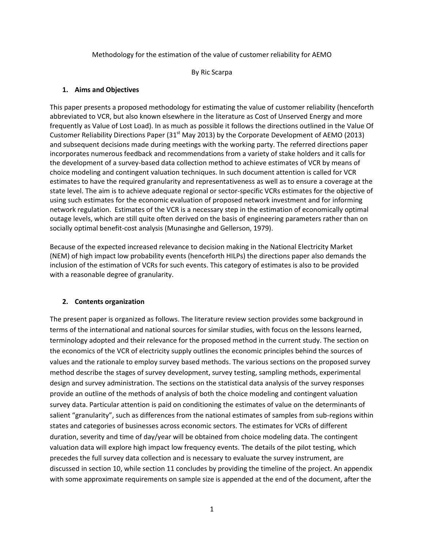Methodology for the estimation of the value of customer reliability for AEMO

By Ric Scarpa

#### **1. Aims and Objectives**

This paper presents a proposed methodology for estimating the value of customer reliability (henceforth abbreviated to VCR, but also known elsewhere in the literature as Cost of Unserved Energy and more frequently as Value of Lost Load). In as much as possible it follows the directions outlined in the Value Of Customer Reliability Directions Paper (31 $^{\text{st}}$  May 2013) by the Corporate Development of AEMO (2013) and subsequent decisions made during meetings with the working party. The referred directions paper incorporates numerous feedback and recommendations from a variety of stake holders and it calls for the development of a survey-based data collection method to achieve estimates of VCR by means of choice modeling and contingent valuation techniques. In such document attention is called for VCR estimates to have the required granularity and representativeness as well as to ensure a coverage at the state level. The aim is to achieve adequate regional or sector-specific VCRs estimates for the objective of using such estimates for the economic evaluation of proposed network investment and for informing network regulation. Estimates of the VCR is a necessary step in the estimation of economically optimal outage levels, which are still quite often derived on the basis of engineering parameters rather than on socially optimal benefit-cost analysis (Munasinghe and Gellerson, 1979).

Because of the expected increased relevance to decision making in the National Electricity Market (NEM) of high impact low probability events (henceforth HILPs) the directions paper also demands the inclusion of the estimation of VCRs for such events. This category of estimates is also to be provided with a reasonable degree of granularity.

## **2. Contents organization**

The present paper is organized as follows. The literature review section provides some background in terms of the international and national sources for similar studies, with focus on the lessons learned, terminology adopted and their relevance for the proposed method in the current study. The section on the economics of the VCR of electricity supply outlines the economic principles behind the sources of values and the rationale to employ survey based methods. The various sections on the proposed survey method describe the stages of survey development, survey testing, sampling methods, experimental design and survey administration. The sections on the statistical data analysis of the survey responses provide an outline of the methods of analysis of both the choice modeling and contingent valuation survey data. Particular attention is paid on conditioning the estimates of value on the determinants of salient "granularity", such as differences from the national estimates of samples from sub-regions within states and categories of businesses across economic sectors. The estimates for VCRs of different duration, severity and time of day/year will be obtained from choice modeling data. The contingent valuation data will explore high impact low frequency events. The details of the pilot testing, which precedes the full survey data collection and is necessary to evaluate the survey instrument, are discussed in section 10, while section 11 concludes by providing the timeline of the project. An appendix with some approximate requirements on sample size is appended at the end of the document, after the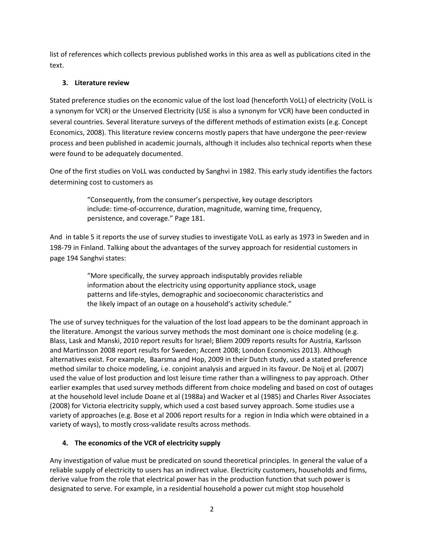list of references which collects previous published works in this area as well as publications cited in the text.

# **3. Literature review**

Stated preference studies on the economic value of the lost load (henceforth VoLL) of electricity (VoLL is a synonym for VCR) or the Unserved Electricity (USE is also a synonym for VCR) have been conducted in several countries. Several literature surveys of the different methods of estimation exists (e.g. Concept Economics, 2008). This literature review concerns mostly papers that have undergone the peer-review process and been published in academic journals, although it includes also technical reports when these were found to be adequately documented.

One of the first studies on VoLL was conducted by Sanghvi in 1982. This early study identifies the factors determining cost to customers as

> "Consequently, from the consumer's perspective, key outage descriptors include: time-of-occurrence, duration, magnitude, warning time, frequency, persistence, and coverage." Page 181.

And in table 5 it reports the use of survey studies to investigate VoLL as early as 1973 in Sweden and in 198-79 in Finland. Talking about the advantages of the survey approach for residential customers in page 194 Sanghvi states:

> "More specifically, the survey approach indisputably provides reliable information about the electricity using opportunity appliance stock, usage patterns and life-styles, demographic and socioeconomic characteristics and the likely impact of an outage on a household's activity schedule."

The use of survey techniques for the valuation of the lost load appears to be the dominant approach in the literature. Amongst the various survey methods the most dominant one is choice modeling (e.g. Blass, Lask and Manski, 2010 report results for Israel; Bliem 2009 reports results for Austria, Karlsson and Martinsson 2008 report results for Sweden; Accent 2008; London Economics 2013). Although alternatives exist. For example, Baarsma and Hop, 2009 in their Dutch study, used a stated preference method similar to choice modeling, i.e. conjoint analysis and argued in its favour. De Noij et al. (2007) used the value of lost production and lost leisure time rather than a willingness to pay approach. Other earlier examples that used survey methods different from choice modeling and based on cost of outages at the household level include Doane et al (1988a) and Wacker et al (1985) and Charles River Associates (2008) for Victoria electricity supply, which used a cost based survey approach. Some studies use a variety of approaches (e.g. Bose et al 2006 report results for a region in India which were obtained in a variety of ways), to mostly cross-validate results across methods.

# **4. The economics of the VCR of electricity supply**

Any investigation of value must be predicated on sound theoretical principles. In general the value of a reliable supply of electricity to users has an indirect value. Electricity customers, households and firms, derive value from the role that electrical power has in the production function that such power is designated to serve. For example, in a residential household a power cut might stop household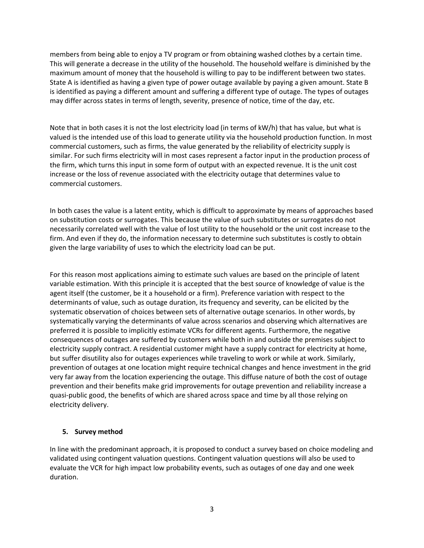members from being able to enjoy a TV program or from obtaining washed clothes by a certain time. This will generate a decrease in the utility of the household. The household welfare is diminished by the maximum amount of money that the household is willing to pay to be indifferent between two states. State A is identified as having a given type of power outage available by paying a given amount. State B is identified as paying a different amount and suffering a different type of outage. The types of outages may differ across states in terms of length, severity, presence of notice, time of the day, etc.

Note that in both cases it is not the lost electricity load (in terms of kW/h) that has value, but what is valued is the intended use of this load to generate utility via the household production function. In most commercial customers, such as firms, the value generated by the reliability of electricity supply is similar. For such firms electricity will in most cases represent a factor input in the production process of the firm, which turns this input in some form of output with an expected revenue. It is the unit cost increase or the loss of revenue associated with the electricity outage that determines value to commercial customers.

In both cases the value is a latent entity, which is difficult to approximate by means of approaches based on substitution costs or surrogates. This because the value of such substitutes or surrogates do not necessarily correlated well with the value of lost utility to the household or the unit cost increase to the firm. And even if they do, the information necessary to determine such substitutes is costly to obtain given the large variability of uses to which the electricity load can be put.

For this reason most applications aiming to estimate such values are based on the principle of latent variable estimation. With this principle it is accepted that the best source of knowledge of value is the agent itself (the customer, be it a household or a firm). Preference variation with respect to the determinants of value, such as outage duration, its frequency and severity, can be elicited by the systematic observation of choices between sets of alternative outage scenarios. In other words, by systematically varying the determinants of value across scenarios and observing which alternatives are preferred it is possible to implicitly estimate VCRs for different agents. Furthermore, the negative consequences of outages are suffered by customers while both in and outside the premises subject to electricity supply contract. A residential customer might have a supply contract for electricity at home, but suffer disutility also for outages experiences while traveling to work or while at work. Similarly, prevention of outages at one location might require technical changes and hence investment in the grid very far away from the location experiencing the outage. This diffuse nature of both the cost of outage prevention and their benefits make grid improvements for outage prevention and reliability increase a quasi-public good, the benefits of which are shared across space and time by all those relying on electricity delivery.

#### **5. Survey method**

In line with the predominant approach, it is proposed to conduct a survey based on choice modeling and validated using contingent valuation questions. Contingent valuation questions will also be used to evaluate the VCR for high impact low probability events, such as outages of one day and one week duration.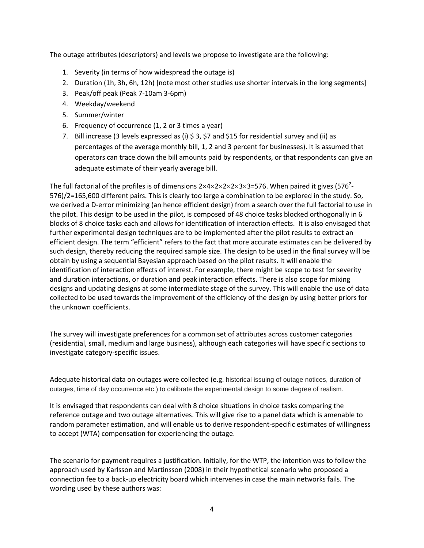The outage attributes (descriptors) and levels we propose to investigate are the following:

- 1. Severity (in terms of how widespread the outage is)
- 2. Duration (1h, 3h, 6h, 12h) [note most other studies use shorter intervals in the long segments]
- 3. Peak/off peak (Peak 7-10am 3-6pm)
- 4. Weekday/weekend
- 5. Summer/winter
- 6. Frequency of occurrence (1, 2 or 3 times a year)
- 7. Bill increase (3 levels expressed as (i)  $\frac{2}{3}$ ,  $\frac{2}{3}$  and  $\frac{2}{3}$  for residential survey and (ii) as percentages of the average monthly bill, 1, 2 and 3 percent for businesses). It is assumed that operators can trace down the bill amounts paid by respondents, or that respondents can give an adequate estimate of their yearly average bill.

The full factorial of the profiles is of dimensions 2×4×2×2×2×3×3=576. When paired it gives (576<sup>2</sup>-576)/2=165,600 different pairs. This is clearly too large a combination to be explored in the study. So, we derived a D-error minimizing (an hence efficient design) from a search over the full factorial to use in the pilot. This design to be used in the pilot, is composed of 48 choice tasks blocked orthogonally in 6 blocks of 8 choice tasks each and allows for identification of interaction effects. It is also envisaged that further experimental design techniques are to be implemented after the pilot results to extract an efficient design. The term "efficient" refers to the fact that more accurate estimates can be delivered by such design, thereby reducing the required sample size. The design to be used in the final survey will be obtain by using a sequential Bayesian approach based on the pilot results. It will enable the identification of interaction effects of interest. For example, there might be scope to test for severity and duration interactions, or duration and peak interaction effects. There is also scope for mixing designs and updating designs at some intermediate stage of the survey. This will enable the use of data collected to be used towards the improvement of the efficiency of the design by using better priors for the unknown coefficients.

The survey will investigate preferences for a common set of attributes across customer categories (residential, small, medium and large business), although each categories will have specific sections to investigate category-specific issues.

Adequate historical data on outages were collected (e.g. historical issuing of outage notices, duration of outages, time of day occurrence etc.) to calibrate the experimental design to some degree of realism.

It is envisaged that respondents can deal with 8 choice situations in choice tasks comparing the reference outage and two outage alternatives. This will give rise to a panel data which is amenable to random parameter estimation, and will enable us to derive respondent-specific estimates of willingness to accept (WTA) compensation for experiencing the outage.

The scenario for payment requires a justification. Initially, for the WTP, the intention was to follow the approach used by Karlsson and Martinsson (2008) in their hypothetical scenario who proposed a connection fee to a back-up electricity board which intervenes in case the main networks fails. The wording used by these authors was: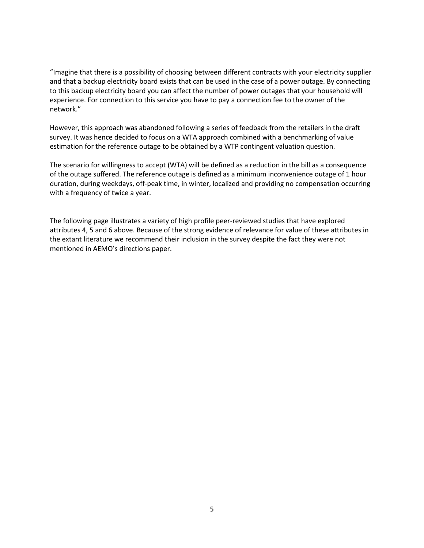"Imagine that there is a possibility of choosing between different contracts with your electricity supplier and that a backup electricity board exists that can be used in the case of a power outage. By connecting to this backup electricity board you can affect the number of power outages that your household will experience. For connection to this service you have to pay a connection fee to the owner of the network."

However, this approach was abandoned following a series of feedback from the retailers in the draft survey. It was hence decided to focus on a WTA approach combined with a benchmarking of value estimation for the reference outage to be obtained by a WTP contingent valuation question.

The scenario for willingness to accept (WTA) will be defined as a reduction in the bill as a consequence of the outage suffered. The reference outage is defined as a minimum inconvenience outage of 1 hour duration, during weekdays, off-peak time, in winter, localized and providing no compensation occurring with a frequency of twice a year.

The following page illustrates a variety of high profile peer-reviewed studies that have explored attributes 4, 5 and 6 above. Because of the strong evidence of relevance for value of these attributes in the extant literature we recommend their inclusion in the survey despite the fact they were not mentioned in AEMO's directions paper.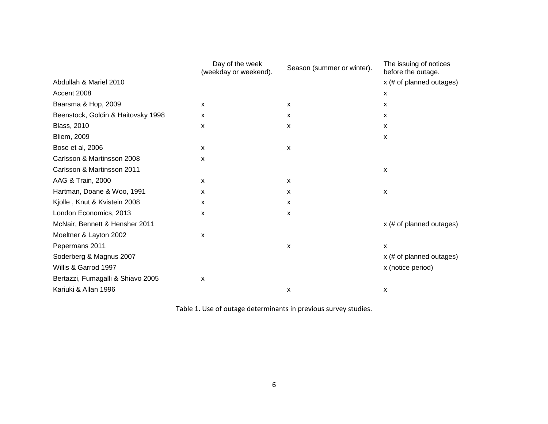|                                    | Day of the week<br>(weekday or weekend). | Season (summer or winter). | The issuing of notices<br>before the outage. |  |
|------------------------------------|------------------------------------------|----------------------------|----------------------------------------------|--|
| Abdullah & Mariel 2010             |                                          |                            | $x$ (# of planned outages)                   |  |
| Accent 2008                        |                                          |                            | х                                            |  |
| Baarsma & Hop, 2009                | X                                        | X                          | X                                            |  |
| Beenstock, Goldin & Haitovsky 1998 | $\mathsf{x}$                             | X                          | X                                            |  |
| <b>Blass, 2010</b>                 | X                                        | X                          | $\mathsf{x}$                                 |  |
| <b>Bliem, 2009</b>                 |                                          |                            | x                                            |  |
| Bose et al, 2006                   | X                                        | X                          |                                              |  |
| Carlsson & Martinsson 2008         | X                                        |                            |                                              |  |
| Carlsson & Martinsson 2011         |                                          |                            | x                                            |  |
| AAG & Train, 2000                  | X                                        | X                          |                                              |  |
| Hartman, Doane & Woo, 1991         | $\mathsf{x}$                             | X                          | X                                            |  |
| Kjolle, Knut & Kvistein 2008       | X                                        | X                          |                                              |  |
| London Economics, 2013             | X                                        | X                          |                                              |  |
| McNair, Bennett & Hensher 2011     |                                          |                            | x (# of planned outages)                     |  |
| Moeltner & Layton 2002             | X                                        |                            |                                              |  |
| Pepermans 2011                     |                                          | X                          | X                                            |  |
| Soderberg & Magnus 2007            |                                          |                            | x (# of planned outages)                     |  |
| Willis & Garrod 1997               |                                          |                            | x (notice period)                            |  |
| Bertazzi, Fumagalli & Shiavo 2005  | X                                        |                            |                                              |  |
| Kariuki & Allan 1996               |                                          | X                          | x                                            |  |

Table 1. Use of outage determinants in previous survey studies.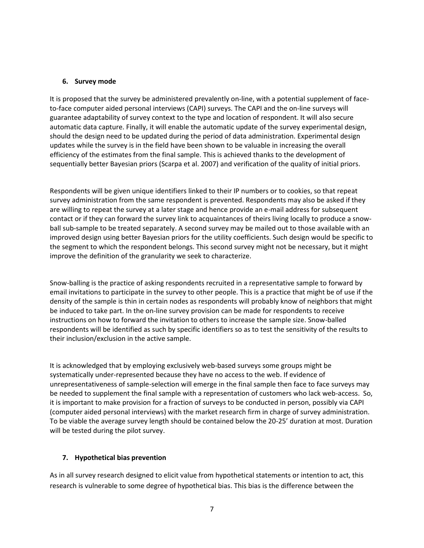#### **6. Survey mode**

It is proposed that the survey be administered prevalently on-line, with a potential supplement of faceto-face computer aided personal interviews (CAPI) surveys. The CAPI and the on-line surveys will guarantee adaptability of survey context to the type and location of respondent. It will also secure automatic data capture. Finally, it will enable the automatic update of the survey experimental design, should the design need to be updated during the period of data administration. Experimental design updates while the survey is in the field have been shown to be valuable in increasing the overall efficiency of the estimates from the final sample. This is achieved thanks to the development of sequentially better Bayesian priors (Scarpa et al. 2007) and verification of the quality of initial priors.

Respondents will be given unique identifiers linked to their IP numbers or to cookies, so that repeat survey administration from the same respondent is prevented. Respondents may also be asked if they are willing to repeat the survey at a later stage and hence provide an e-mail address for subsequent contact or if they can forward the survey link to acquaintances of theirs living locally to produce a snowball sub-sample to be treated separately. A second survey may be mailed out to those available with an improved design using better Bayesian priors for the utility coefficients. Such design would be specific to the segment to which the respondent belongs. This second survey might not be necessary, but it might improve the definition of the granularity we seek to characterize.

Snow-balling is the practice of asking respondents recruited in a representative sample to forward by email invitations to participate in the survey to other people. This is a practice that might be of use if the density of the sample is thin in certain nodes as respondents will probably know of neighbors that might be induced to take part. In the on-line survey provision can be made for respondents to receive instructions on how to forward the invitation to others to increase the sample size. Snow-balled respondents will be identified as such by specific identifiers so as to test the sensitivity of the results to their inclusion/exclusion in the active sample.

It is acknowledged that by employing exclusively web-based surveys some groups might be systematically under-represented because they have no access to the web. If evidence of unrepresentativeness of sample-selection will emerge in the final sample then face to face surveys may be needed to supplement the final sample with a representation of customers who lack web-access. So, it is important to make provision for a fraction of surveys to be conducted in person, possibly via CAPI (computer aided personal interviews) with the market research firm in charge of survey administration. To be viable the average survey length should be contained below the 20-25' duration at most. Duration will be tested during the pilot survey.

#### **7. Hypothetical bias prevention**

As in all survey research designed to elicit value from hypothetical statements or intention to act, this research is vulnerable to some degree of hypothetical bias. This bias is the difference between the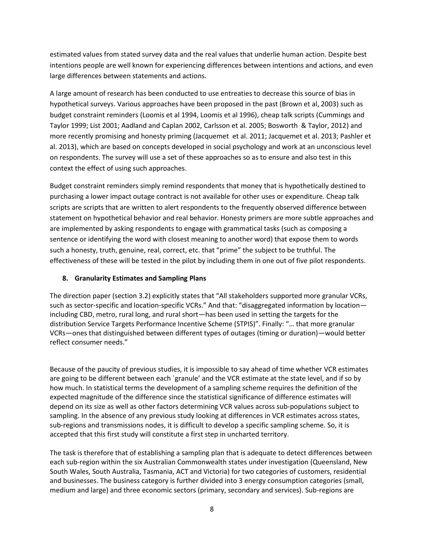estimated values from stated survey data and the real values that underlie human action. Despite best intentions people are well known for experiencing differences between intentions and actions, and even large differences between statements and actions.

A large amount of research has been conducted to use entreaties to decrease this source of bias in hypothetical surveys. Various approaches have been proposed in the past (Brown et al, 2003) such as budget constraint reminders (Loomis et al 1994, Loomis et al 1996), cheap talk scripts (Cummings and Taylor 1999; List 2001; Aadland and Caplan 2002, Carlsson et al. 2005; Bosworth & Taylor, 2012) and more recently promising and honesty priming (Jacquemet et al. 2011; Jacquemet et al. 2013; Pashler et al. 2013), which are based on concepts developed in social psychology and work at an unconscious level on respondents. The survey will use a set of these approaches so as to ensure and also test in this context the effect of using such approaches.

Budget constraint reminders simply remind respondents that money that is hypothetically destined to purchasing a lower impact outage contract is not available for other uses or expenditure. Cheap talk scripts are scripts that are written to alert respondents to the frequently observed difference between statement on hypothetical behavior and real behavior. Honesty primers are more subtle approaches and are implemented by asking respondents to engage with grammatical tasks (such as composing a sentence or identifying the word with closest meaning to another word) that expose them to words such a honesty, truth, genuine, real, correct, etc. that "prime" the subject to be truthful. The effectiveness of these will be tested in the pilot by including them in one out of five pilot respondents.

## **8. Granularity Estimates and Sampling Plans**

The direction paper (section 3.2) explicitly states that "All stakeholders supported more granular VCRs, such as sector-specific and location-specific VCRs." And that: "disaggregated information by location including CBD, metro, rural long, and rural short—has been used in setting the targets for the distribution Service Targets Performance Incentive Scheme (STPIS)". Finally: "… that more granular VCRs—ones that distinguished between different types of outages (timing or duration)—would better reflect consumer needs."

Because of the paucity of previous studies, it is impossible to say ahead of time whether VCR estimates are going to be different between each `granule' and the VCR estimate at the state level, and if so by how much. In statistical terms the development of a sampling scheme requires the definition of the expected magnitude of the difference since the statistical significance of difference estimates will depend on its size as well as other factors determining VCR values across sub-populations subject to sampling. In the absence of any previous study looking at differences in VCR estimates across states, sub-regions and transmissions nodes, it is difficult to develop a specific sampling scheme. So, it is accepted that this first study will constitute a first step in uncharted territory.

The task is therefore that of establishing a sampling plan that is adequate to detect differences between each sub-region within the six Australian Commonwealth states under investigation (Queensland, New South Wales, South Australia, Tasmania, ACT and Victoria) for two categories of customers, residential and businesses. The business category is further divided into 3 energy consumption categories (small, medium and large) and three economic sectors (primary, secondary and services). Sub-regions are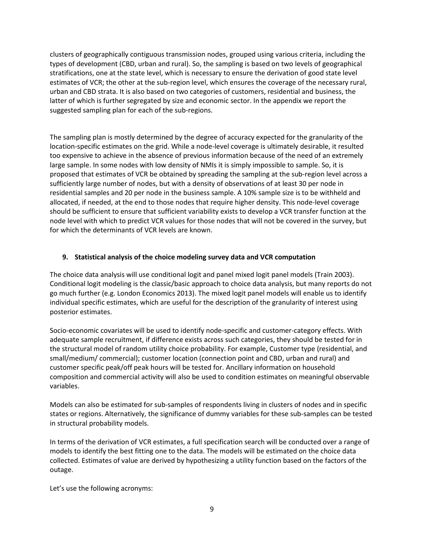clusters of geographically contiguous transmission nodes, grouped using various criteria, including the types of development (CBD, urban and rural). So, the sampling is based on two levels of geographical stratifications, one at the state level, which is necessary to ensure the derivation of good state level estimates of VCR; the other at the sub-region level, which ensures the coverage of the necessary rural, urban and CBD strata. It is also based on two categories of customers, residential and business, the latter of which is further segregated by size and economic sector. In the appendix we report the suggested sampling plan for each of the sub-regions.

The sampling plan is mostly determined by the degree of accuracy expected for the granularity of the location-specific estimates on the grid. While a node-level coverage is ultimately desirable, it resulted too expensive to achieve in the absence of previous information because of the need of an extremely large sample. In some nodes with low density of NMIs it is simply impossible to sample. So, it is proposed that estimates of VCR be obtained by spreading the sampling at the sub-region level across a sufficiently large number of nodes, but with a density of observations of at least 30 per node in residential samples and 20 per node in the business sample. A 10% sample size is to be withheld and allocated, if needed, at the end to those nodes that require higher density. This node-level coverage should be sufficient to ensure that sufficient variability exists to develop a VCR transfer function at the node level with which to predict VCR values for those nodes that will not be covered in the survey, but for which the determinants of VCR levels are known.

### **9. Statistical analysis of the choice modeling survey data and VCR computation**

The choice data analysis will use conditional logit and panel mixed logit panel models (Train 2003). Conditional logit modeling is the classic/basic approach to choice data analysis, but many reports do not go much further (e.g. London Economics 2013). The mixed logit panel models will enable us to identify individual specific estimates, which are useful for the description of the granularity of interest using posterior estimates.

Socio-economic covariates will be used to identify node-specific and customer-category effects. With adequate sample recruitment, if difference exists across such categories, they should be tested for in the structural model of random utility choice probability. For example, Customer type (residential, and small/medium/ commercial); customer location (connection point and CBD, urban and rural) and customer specific peak/off peak hours will be tested for. Ancillary information on household composition and commercial activity will also be used to condition estimates on meaningful observable variables.

Models can also be estimated for sub-samples of respondents living in clusters of nodes and in specific states or regions. Alternatively, the significance of dummy variables for these sub-samples can be tested in structural probability models.

In terms of the derivation of VCR estimates, a full specification search will be conducted over a range of models to identify the best fitting one to the data. The models will be estimated on the choice data collected. Estimates of value are derived by hypothesizing a utility function based on the factors of the outage.

Let's use the following acronyms: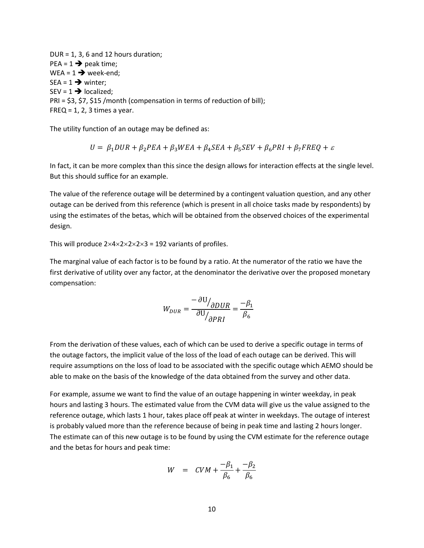$DUR = 1$ , 3, 6 and 12 hours duration;  $PEA = 1 \rightarrow$  peak time; WEA =  $1 \rightarrow$  week-end;  $SEA = 1 \rightarrow$  winter;  $SEV = 1 \rightarrow located$ PRI = \$3, \$7, \$15 /month (compensation in terms of reduction of bill);  $FREQ = 1, 2, 3$  times a year.

The utility function of an outage may be defined as:

$$
U = \beta_1 DUR + \beta_2 PEA + \beta_3 WEA + \beta_4 SEA + \beta_5 SEV + \beta_6 PRI + \beta_7 FREQ + \varepsilon
$$

In fact, it can be more complex than this since the design allows for interaction effects at the single level. But this should suffice for an example.

The value of the reference outage will be determined by a contingent valuation question, and any other outage can be derived from this reference (which is present in all choice tasks made by respondents) by using the estimates of the betas, which will be obtained from the observed choices of the experimental design.

This will produce  $2\times4\times2\times2\times2\times3 = 192$  variants of profiles.

The marginal value of each factor is to be found by a ratio. At the numerator of the ratio we have the first derivative of utility over any factor, at the denominator the derivative over the proposed monetary compensation:

$$
W_{DUR} = \frac{-\partial U_{\partial DUR}}{\partial U_{\partial PRI}} = \frac{-\beta_1}{\beta_6}
$$

From the derivation of these values, each of which can be used to derive a specific outage in terms of the outage factors, the implicit value of the loss of the load of each outage can be derived. This will require assumptions on the loss of load to be associated with the specific outage which AEMO should be able to make on the basis of the knowledge of the data obtained from the survey and other data.

For example, assume we want to find the value of an outage happening in winter weekday, in peak hours and lasting 3 hours. The estimated value from the CVM data will give us the value assigned to the reference outage, which lasts 1 hour, takes place off peak at winter in weekdays. The outage of interest is probably valued more than the reference because of being in peak time and lasting 2 hours longer. The estimate can of this new outage is to be found by using the CVM estimate for the reference outage and the betas for hours and peak time:

$$
W = CVM + \frac{-\beta_1}{\beta_6} + \frac{-\beta_2}{\beta_6}
$$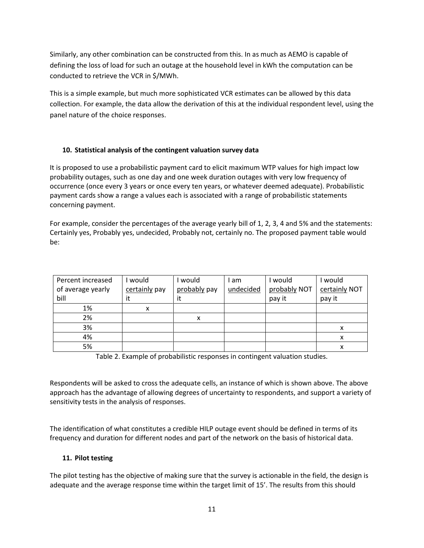Similarly, any other combination can be constructed from this. In as much as AEMO is capable of defining the loss of load for such an outage at the household level in kWh the computation can be conducted to retrieve the VCR in \$/MWh.

This is a simple example, but much more sophisticated VCR estimates can be allowed by this data collection. For example, the data allow the derivation of this at the individual respondent level, using the panel nature of the choice responses.

## **10. Statistical analysis of the contingent valuation survey data**

It is proposed to use a probabilistic payment card to elicit maximum WTP values for high impact low probability outages, such as one day and one week duration outages with very low frequency of occurrence (once every 3 years or once every ten years, or whatever deemed adequate). Probabilistic payment cards show a range a values each is associated with a range of probabilistic statements concerning payment.

For example, consider the percentages of the average yearly bill of 1, 2, 3, 4 and 5% and the statements: Certainly yes, Probably yes, undecided, Probably not, certainly no. The proposed payment table would be:

| Percent increased | would         | would        | I am      | would        | would         |
|-------------------|---------------|--------------|-----------|--------------|---------------|
| of average yearly | certainly pay | probably pay | undecided | probably NOT | certainly NOT |
| bill              | it            | it           |           | pay it       | pay it        |
| 1%                | x             |              |           |              |               |
| 2%                |               | x            |           |              |               |
| 3%                |               |              |           |              | x             |
| 4%                |               |              |           |              | x             |
| 5%                |               |              |           |              |               |

Table 2. Example of probabilistic responses in contingent valuation studies.

Respondents will be asked to cross the adequate cells, an instance of which is shown above. The above approach has the advantage of allowing degrees of uncertainty to respondents, and support a variety of sensitivity tests in the analysis of responses.

The identification of what constitutes a credible HILP outage event should be defined in terms of its frequency and duration for different nodes and part of the network on the basis of historical data.

## **11. Pilot testing**

The pilot testing has the objective of making sure that the survey is actionable in the field, the design is adequate and the average response time within the target limit of 15'. The results from this should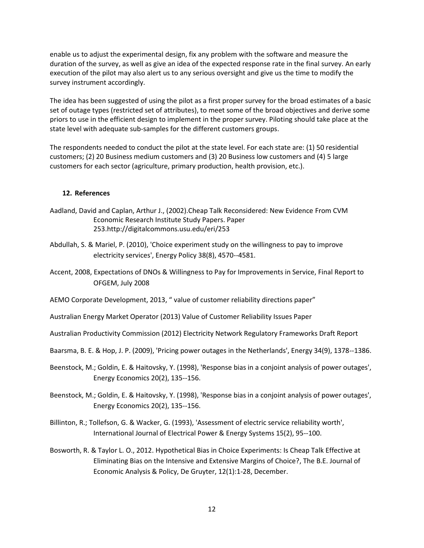enable us to adjust the experimental design, fix any problem with the software and measure the duration of the survey, as well as give an idea of the expected response rate in the final survey. An early execution of the pilot may also alert us to any serious oversight and give us the time to modify the survey instrument accordingly.

The idea has been suggested of using the pilot as a first proper survey for the broad estimates of a basic set of outage types (restricted set of attributes), to meet some of the broad objectives and derive some priors to use in the efficient design to implement in the proper survey. Piloting should take place at the state level with adequate sub-samples for the different customers groups.

The respondents needed to conduct the pilot at the state level. For each state are: (1) 50 residential customers; (2) 20 Business medium customers and (3) 20 Business low customers and (4) 5 large customers for each sector (agriculture, primary production, health provision, etc.).

#### **12. References**

- Aadland, David and Caplan, Arthur J., (2002).Cheap Talk Reconsidered: New Evidence From CVM Economic Research Institute Study Papers. Paper 253.http://digitalcommons.usu.edu/eri/253
- Abdullah, S. & Mariel, P. (2010), 'Choice experiment study on the willingness to pay to improve electricity services', Energy Policy 38(8), 4570--4581.
- Accent, 2008, Expectations of DNOs & Willingness to Pay for Improvements in Service, Final Report to OFGEM, July 2008
- AEMO Corporate Development, 2013, " value of customer reliability directions paper"
- Australian Energy Market Operator (2013) Value of Customer Reliability Issues Paper
- Australian Productivity Commission (2012) Electricity Network Regulatory Frameworks Draft Report
- Baarsma, B. E. & Hop, J. P. (2009), 'Pricing power outages in the Netherlands', Energy 34(9), 1378--1386.
- Beenstock, M.; Goldin, E. & Haitovsky, Y. (1998), 'Response bias in a conjoint analysis of power outages', Energy Economics 20(2), 135--156.
- Beenstock, M.; Goldin, E. & Haitovsky, Y. (1998), 'Response bias in a conjoint analysis of power outages', Energy Economics 20(2), 135--156.
- Billinton, R.; Tollefson, G. & Wacker, G. (1993), 'Assessment of electric service reliability worth', International Journal of Electrical Power & Energy Systems 15(2), 95--100.
- Bosworth, R. & Taylor L. O., 2012[. Hypothetical Bias in Choice Experiments: Is Cheap Talk Effective at](http://ideas.repec.org/a/bpj/bejeap/v12y2012i1p1-28n56.html)  [Eliminating Bias on the Intensive and Extensive Margins of Choice?,](http://ideas.repec.org/a/bpj/bejeap/v12y2012i1p1-28n56.html) [The B.E. Journal of](http://ideas.repec.org/s/bpj/bejeap.html)  [Economic Analysis & Policy,](http://ideas.repec.org/s/bpj/bejeap.html) De Gruyter, 12(1):1-28, December.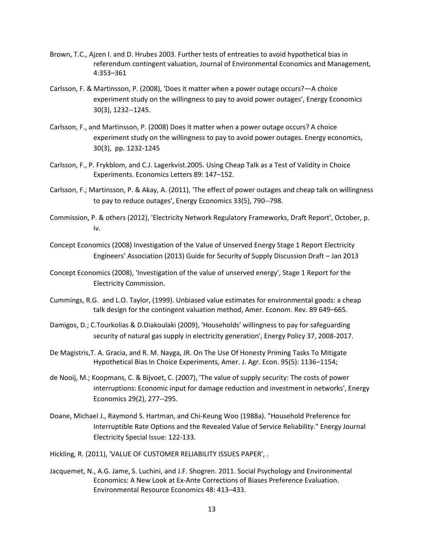- Brown, T.C., Ajzen I. and D. Hrubes 2003. Further tests of entreaties to avoid hypothetical bias in referendum contingent valuation, Journal of Environmental Economics and Management, 4:353–361
- Carlsson, F. & Martinsson, P. (2008), 'Does it matter when a power outage occurs?—A choice experiment study on the willingness to pay to avoid power outages', Energy Economics 30(3), 1232--1245.
- Carlsson, F., and Martinsson, P. (2008) Does it matter when a power outage occurs? A choice experiment study on the willingness to pay to avoid power outages. Energy economics, 30(3), pp. 1232-1245
- Carlsson, F., P. Frykblom, and C.J. Lagerkvist.2005. Using Cheap Talk as a Test of Validity in Choice Experiments. Economics Letters 89: 147–152.
- Carlsson, F.; Martinsson, P. & Akay, A. (2011), 'The effect of power outages and cheap talk on willingness to pay to reduce outages', Energy Economics 33(5), 790--798.
- Commission, P. & others (2012), 'Electricity Network Regulatory Frameworks, Draft Report', October, p. iv.
- Concept Economics (2008) Investigation of the Value of Unserved Energy Stage 1 Report Electricity Engineers' Association (2013) Guide for Security of Supply Discussion Draft – Jan 2013
- Concept Economics (2008), 'Investigation of the value of unserved energy', Stage 1 Report for the Electricity Commission.
- Cummings, R.G. and L.O. Taylor, (1999). Unbiased value estimates for environmental goods: a cheap talk design for the contingent valuation method, Amer. Econom. Rev. 89 649–665.
- Damigos, D.; C.Tourkolias & D.Diakoulaki (2009), 'Households' willingness to pay for safeguarding security of natural gas supply in electricity generation', Energy Policy 37, 2008-2017.
- De Magistris,T. A. Gracia, and R. M. Nayga, JR. On The Use Of Honesty Priming Tasks To Mitigate Hypothetical Bias In Choice Experiments, Amer. J. Agr. Econ. 95(5): 1136–1154;
- de Nooij, M.; Koopmans, C. & Bijvoet, C. (2007), 'The value of supply security: The costs of power interruptions: Economic input for damage reduction and investment in networks', Energy Economics 29(2), 277--295.
- Doane, Michael J., Raymond S. Hartman, and Chi-Keung Woo (1988a). "Household Preference for Interruptible Rate Options and the Revealed Value of Service Reliability." Energy Journal Electricity Special Issue: 122-133.
- Hickling, R. (2011), 'VALUE OF CUSTOMER RELIABILITY ISSUES PAPER', .
- Jacquemet, N., A.G. Jame, S. Luchini, and J.F. Shogren. 2011. Social Psychology and Environmental Economics: A New Look at Ex-Ante Corrections of Biases Preference Evaluation. Environmental Resource Economics 48: 413–433.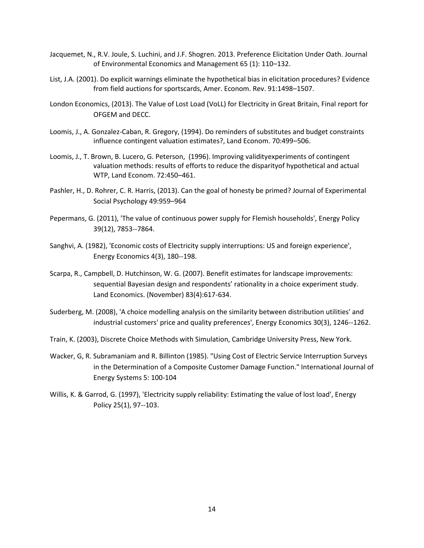- Jacquemet, N., R.V. Joule, S. Luchini, and J.F. Shogren. 2013. Preference Elicitation Under Oath. Journal of Environmental Economics and Management 65 (1): 110–132.
- List, J.A. (2001). Do explicit warnings eliminate the hypothetical bias in elicitation procedures? Evidence from field auctions for sportscards, Amer. Econom. Rev. 91:1498–1507.
- London Economics, (2013). The Value of Lost Load (VoLL) for Electricity in Great Britain, Final report for OFGEM and DECC.
- Loomis, J., A. Gonzalez-Caban, R. Gregory, (1994). Do reminders of substitutes and budget constraints influence contingent valuation estimates?, Land Econom. 70:499–506.
- Loomis, J., T. Brown, B. Lucero, G. Peterson, (1996). Improving validityexperiments of contingent valuation methods: results of efforts to reduce the disparityof hypothetical and actual WTP, Land Econom. 72:450–461.
- Pashler, H., D. Rohrer, C. R. Harris, (2013). Can the goal of honesty be primed? Journal of Experimental Social Psychology 49:959–964
- Pepermans, G. (2011), 'The value of continuous power supply for Flemish households', Energy Policy 39(12), 7853--7864.
- Sanghvi, A. (1982), 'Economic costs of Electricity supply interruptions: US and foreign experience', Energy Economics 4(3), 180--198.
- Scarpa, R., Campbell, D. Hutchinson, W. G. (2007). Benefit estimates for landscape improvements: sequential Bayesian design and respondents' rationality in a choice experiment study. [Land Economics. \(November\) 83\(4\):617-634.](http://www.ingentaconnect.com/content/wisc/lec/2007/00000083/00000004/art00010)
- Suderberg, M. (2008), 'A choice modelling analysis on the similarity between distribution utilities' and industrial customers' price and quality preferences', Energy Economics 30(3), 1246--1262.
- Train, K. (2003), Discrete Choice Methods with Simulation, Cambridge University Press, New York.
- Wacker, G, R. Subramaniam and R. Billinton (1985). "Using Cost of Electric Service Interruption Surveys in the Determination of a Composite Customer Damage Function." International Journal of Energy Systems 5: 100-104
- Willis, K. & Garrod, G. (1997), 'Electricity supply reliability: Estimating the value of lost load', Energy Policy 25(1), 97--103.